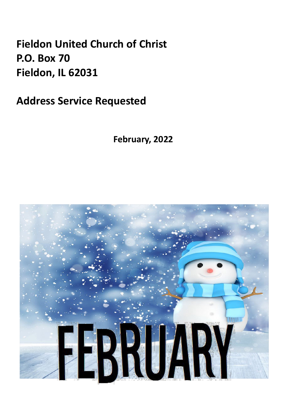## **Fieldon United Church of Christ P.O. Box 70 Fieldon, IL 62031**

**Address Service Requested**

**February, 2022**

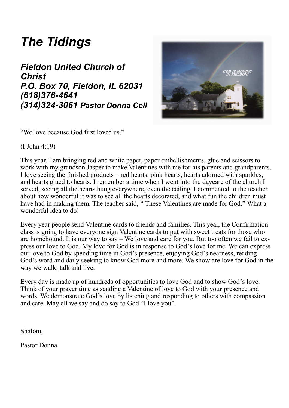## *The Tidings*

### *Fieldon United Church of Christ P.O. Box 70, Fieldon, IL 62031 (618)376-4641 (314)324-3061 Pastor Donna Cell*



"We love because God first loved us."

(I John 4:19)

This year, I am bringing red and white paper, paper embellishments, glue and scissors to work with my grandson Jasper to make Valentines with me for his parents and grandparents. I love seeing the finished products – red hearts, pink hearts, hearts adorned with sparkles, and hearts glued to hearts. I remember a time when I went into the daycare of the church I served, seeing all the hearts hung everywhere, even the ceiling. I commented to the teacher about how wonderful it was to see all the hearts decorated, and what fun the children must have had in making them. The teacher said, "These Valentines are made for God." What a wonderful idea to do!

Every year people send Valentine cards to friends and families. This year, the Confirmation class is going to have everyone sign Valentine cards to put with sweet treats for those who are homebound. It is our way to say – We love and care for you. But too often we fail to express our love to God. My love for God is in response to God's love for me. We can express our love to God by spending time in God's presence, enjoying God's nearness, reading God's word and daily seeking to know God more and more. We show are love for God in the way we walk, talk and live.

Every day is made up of hundreds of opportunities to love God and to show God's love. Think of your prayer time as sending a Valentine of love to God with your presence and words. We demonstrate God's love by listening and responding to others with compassion and care. May all we say and do say to God "I love you".

Shalom,

Pastor Donna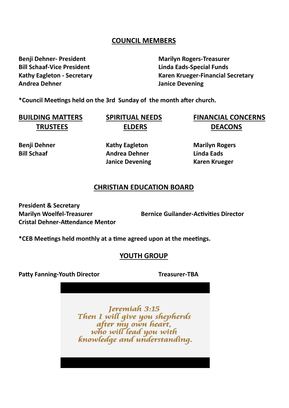#### **COUNCIL MEMBERS**

**Benji Dehner- President Marilyn Rogers-Treasurer Bill Schaaf-Vice President Linda Eads-Special Funds Andrea Dehner Janice Devening**

**Kathy Eagleton - Secretary Karen Krueger-Financial Secretary**

**\*Council Meetings held on the 3rd Sunday of the month after church.** 

**TRUSTEES ELDERS DEACONS**

**BUILDING MATTERS SPIRITUAL NEEDS FINANCIAL CONCERNS**

**Benji Dehner Kathy Eagleton Marilyn Rogers Bill Schaaf Andrea Dehner Linda Eads Janice Devening Karen Krueger** 

#### **CHRISTIAN EDUCATION BOARD**

**President & Secretary Cristal Dehner-Attendance Mentor**

**Marilyn Woelfel-Treasurer Bernice Guilander-Activities Director**

**\*CEB Meetings held monthly at a time agreed upon at the meetings.**

#### **YOUTH GROUP**

**Patty Fanning-Youth Director Treasurer-TBA**

Jeremiah 3:15 Then I will give you shepherds<br>after my own heart,<br>who will lead you with knowledge and understanding.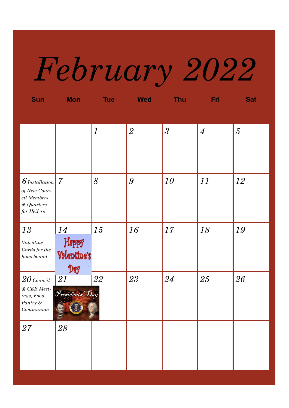# *February 2022*

| <b>Sun</b>                                                                             | <b>Mon</b>                        | <b>Tue</b>       | <b>Wed</b>     | <b>Thu</b>     | <b>Fri</b>     | <b>Sat</b>     |
|----------------------------------------------------------------------------------------|-----------------------------------|------------------|----------------|----------------|----------------|----------------|
|                                                                                        |                                   | $\boldsymbol{l}$ | $\overline{2}$ | $\overline{3}$ | $\overline{4}$ | $\overline{5}$ |
| $6$ Installation<br>of New Coun-<br>$\it{cil}$ Members<br>$\&$ Quarters<br>for Heifers | $\overline{7}$                    | 8                | 9              | 10             | 11             | 12             |
| 13<br>Valentine<br>$\operatorname{Cards}$ for the<br>homebound                         | 14<br>Happy<br>Valentine's<br>Day | 15               | 16             | 17             | 18             | 19             |
| $20$ Council<br>$&$ CEB Meet-<br>ings, $Food$<br>Pantry $\&$<br>Communion              | 21<br>Presidents Day<br>全<br>Acc  | 22               | 23             | 24             | 25             | 26             |
| 27                                                                                     | 28                                |                  |                |                |                |                |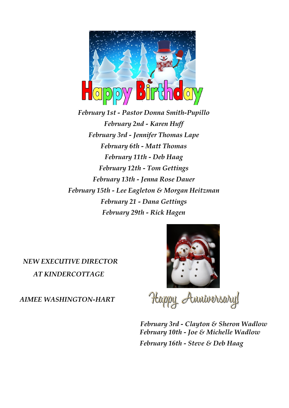

*February 1st - Pastor Donna Smith-Pupillo February 2nd - Karen Huff February 3rd - Jennifer Thomas Lape February 6th - Matt Thomas February 11th - Deb Haag February 12th - Tom Gettings February 13th - Jenna Rose Dauer February 15th - Lee Eagleton & Morgan Heitzman February 21 - Dana Gettings February 29th - Rick Hagen* 

 *NEW EXECUTIVE DIRECTOR AT KINDERCOTTAGE* 

*AIMEE WASHINGTON-HART* 



Happy Amiversary!

 *February 3rd - Clayton & Sheron Wadlow February 10th - Joe & Michelle Wadlow February 16th - Steve & Deb Haag*